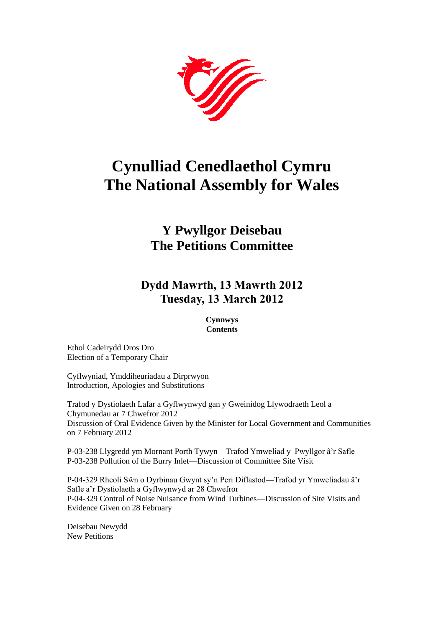

# **Cynulliad Cenedlaethol Cymru The National Assembly for Wales**

# **Y Pwyllgor Deisebau The Petitions Committee**

# **Dydd Mawrth, 13 Mawrth 2012 Tuesday, 13 March 2012**

#### **Cynnwys Contents**

[Ethol Cadeirydd Dros Dro](#page-2-0) [Election of a Temporary Chair](#page-2-0)

[Cyflwyniad, Ymddiheuriadau a Dirprwyon](#page-2-1) [Introduction, Apologies and Substitutions](#page-2-1)

[Trafod y Dystiolaeth Lafar a Gyflwynwyd gan y Gweinidog Llywodraeth Leol a](#page-2-2)  [Chymunedau ar 7 Chwefror 2012](#page-2-2) [Discussion of Oral Evidence Given by the Minister for Local Government and Communities](#page-2-2)  [on 7 February 2012](#page-2-2)

[P-03-238 Llygredd ym Mornant Porth Tywyn—Trafod Ymweliad y Pwyllgor â'r Safle](#page-4-0) [P-03-238 Pollution of the Burry Inlet—Discussion of Committee Site Visit](#page-4-0)

[P-04-329 Rheoli Sŵn o Dyrbinau Gwynt sy'n Peri Diflastod—Trafod yr Ymweliadau â'r](#page-4-1)  [Safle a'r Dystiolaeth a Gyflwynwyd ar 28 Chwefror](#page-4-1) [P-04-329 Control of Noise Nuisance from Wind Turbines—Discussion of Site Visits and](#page-4-1)  [Evidence Given on 28 February](#page-4-1)

[Deisebau Newydd](#page-4-2) [New Petitions](#page-4-2)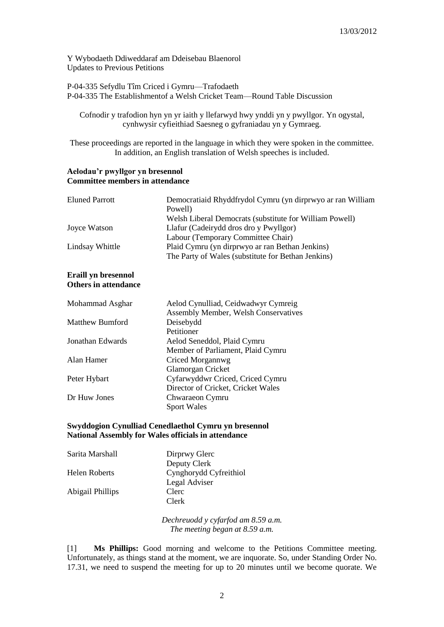[Y Wybodaeth Ddiweddaraf am Ddeisebau Blaenorol](#page-7-0) Updates [to Previous Petitions](#page-7-0)

[P-04-335 Sefydlu Tîm Criced i Gymru—Trafodaeth](#page-12-0) [P-04-335 The Establishmentof a Welsh Cricket Team—Round Table Discussion](#page-12-0)

Cofnodir y trafodion hyn yn yr iaith y llefarwyd hwy ynddi yn y pwyllgor. Yn ogystal, cynhwysir cyfieithiad Saesneg o gyfraniadau yn y Gymraeg.

These proceedings are reported in the language in which they were spoken in the committee. In addition, an English translation of Welsh speeches is included.

#### **Aelodau'r pwyllgor yn bresennol Committee members in attendance**

| Eluned Parrott  | Democratiaid Rhyddfrydol Cymru (yn dirprwyo ar ran William<br>Powell) |
|-----------------|-----------------------------------------------------------------------|
|                 | Welsh Liberal Democrats (substitute for William Powell)               |
| Joyce Watson    | Llafur (Cadeirydd dros dro y Pwyllgor)                                |
|                 | Labour (Temporary Committee Chair)                                    |
| Lindsay Whittle | Plaid Cymru (yn dirprwyo ar ran Bethan Jenkins)                       |
|                 | The Party of Wales (substitute for Bethan Jenkins)                    |
|                 |                                                                       |

#### **Eraill yn bresennol Others in attendance**

| Mohammad Asghar        | Aelod Cynulliad, Ceidwadwyr Cymreig  |
|------------------------|--------------------------------------|
|                        | Assembly Member, Welsh Conservatives |
| <b>Matthew Bumford</b> | Deisebydd                            |
|                        | Petitioner                           |
| Jonathan Edwards       | Aelod Seneddol, Plaid Cymru          |
|                        | Member of Parliament, Plaid Cymru    |
| Alan Hamer             | Criced Morgannwg                     |
|                        | Glamorgan Cricket                    |
| Peter Hybart           | Cyfarwyddwr Criced, Criced Cymru     |
|                        | Director of Cricket, Cricket Wales   |
| Dr Huw Jones           | Chwaraeon Cymru                      |
|                        | <b>Sport Wales</b>                   |

#### **Swyddogion Cynulliad Cenedlaethol Cymru yn bresennol National Assembly for Wales officials in attendance**

| Sarita Marshall      | Dirprwy Glerc          |
|----------------------|------------------------|
|                      | Deputy Clerk           |
| <b>Helen Roberts</b> | Cynghorydd Cyfreithiol |
|                      | Legal Adviser          |
| Abigail Phillips     | Clerc                  |
|                      | Clerk                  |

*Dechreuodd y cyfarfod am 8.59 a.m. The meeting began at 8.59 a.m.*

[1] **Ms Phillips:** Good morning and welcome to the Petitions Committee meeting. Unfortunately, as things stand at the moment, we are inquorate. So, under Standing Order No. 17.31, we need to suspend the meeting for up to 20 minutes until we become quorate. We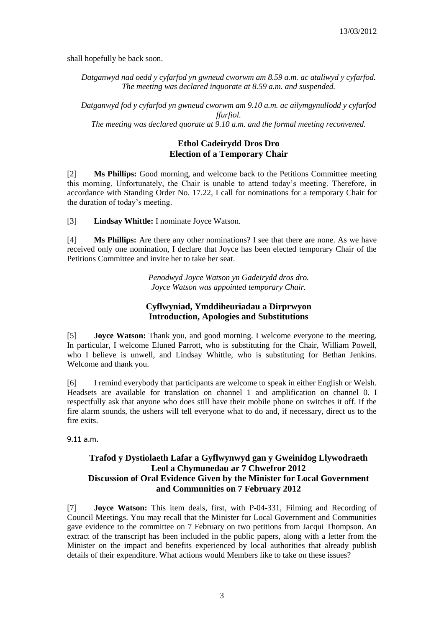shall hopefully be back soon.

*Datganwyd nad oedd y cyfarfod yn gwneud cworwm am 8.59 a.m. ac ataliwyd y cyfarfod. The meeting was declared inquorate at 8.59 a.m. and suspended.*

*Datganwyd fod y cyfarfod yn gwneud cworwm am 9.10 a.m. ac ailymgynullodd y cyfarfod ffurfiol. The meeting was declared quorate at 9.10 a.m. and the formal meeting reconvened.*

### **Ethol Cadeirydd Dros Dro Election of a Temporary Chair**

<span id="page-2-0"></span>[2] **Ms Phillips:** Good morning, and welcome back to the Petitions Committee meeting this morning. Unfortunately, the Chair is unable to attend today's meeting. Therefore, in accordance with Standing Order No. 17.22, I call for nominations for a temporary Chair for the duration of today's meeting.

[3] **Lindsay Whittle:** I nominate Joyce Watson.

[4] **Ms Phillips:** Are there any other nominations? I see that there are none. As we have received only one nomination, I declare that Joyce has been elected temporary Chair of the Petitions Committee and invite her to take her seat.

> *Penodwyd Joyce Watson yn Gadeirydd dros dro. Joyce Watson was appointed temporary Chair.*

### **Cyflwyniad, Ymddiheuriadau a Dirprwyon Introduction, Apologies and Substitutions**

<span id="page-2-1"></span>[5] **Joyce Watson:** Thank you, and good morning. I welcome everyone to the meeting. In particular, I welcome Eluned Parrott, who is substituting for the Chair, William Powell, who I believe is unwell, and Lindsay Whittle, who is substituting for Bethan Jenkins. Welcome and thank you.

[6] I remind everybody that participants are welcome to speak in either English or Welsh. Headsets are available for translation on channel 1 and amplification on channel 0. I respectfully ask that anyone who does still have their mobile phone on switches it off. If the fire alarm sounds, the ushers will tell everyone what to do and, if necessary, direct us to the fire exits.

<span id="page-2-2"></span>9.11 a.m.

# **Trafod y Dystiolaeth Lafar a Gyflwynwyd gan y Gweinidog Llywodraeth Leol a Chymunedau ar 7 Chwefror 2012 Discussion of Oral Evidence Given by the Minister for Local Government and Communities on 7 February 2012**

[7] **Joyce Watson:** This item deals, first, with P-04-331, Filming and Recording of Council Meetings. You may recall that the Minister for Local Government and Communities gave evidence to the committee on 7 February on two petitions from Jacqui Thompson. An extract of the transcript has been included in the public papers, along with a letter from the Minister on the impact and benefits experienced by local authorities that already publish details of their expenditure. What actions would Members like to take on these issues?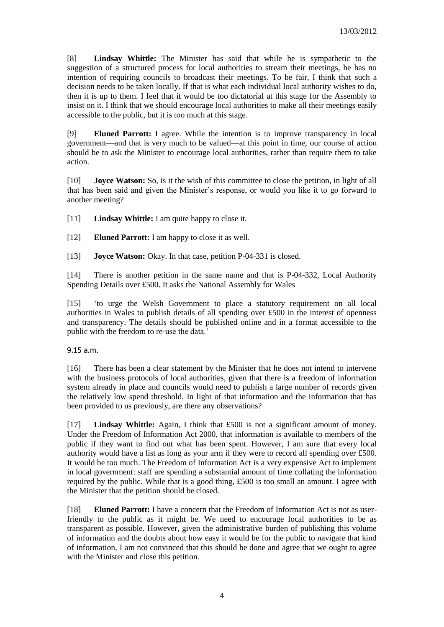[8] **Lindsay Whittle:** The Minister has said that while he is sympathetic to the suggestion of a structured process for local authorities to stream their meetings, he has no intention of requiring councils to broadcast their meetings. To be fair, I think that such a decision needs to be taken locally. If that is what each individual local authority wishes to do, then it is up to them. I feel that it would be too dictatorial at this stage for the Assembly to insist on it. I think that we should encourage local authorities to make all their meetings easily accessible to the public, but it is too much at this stage.

[9] **Eluned Parrott:** I agree. While the intention is to improve transparency in local government—and that is very much to be valued—at this point in time, our course of action should be to ask the Minister to encourage local authorities, rather than require them to take action.

[10] **Joyce Watson:** So, is it the wish of this committee to close the petition, in light of all that has been said and given the Minister's response, or would you like it to go forward to another meeting?

[11] **Lindsay Whittle:** I am quite happy to close it.

[12] **Eluned Parrott:** I am happy to close it as well.

[13] **Joyce Watson:** Okay. In that case, petition P-04-331 is closed.

[14] There is another petition in the same name and that is P-04-332, Local Authority Spending Details over £500. It asks the National Assembly for Wales

[15] 'to urge the Welsh Government to place a statutory requirement on all local authorities in Wales to publish details of all spending over £500 in the interest of openness and transparency. The details should be published online and in a format accessible to the public with the freedom to re-use the data.'

#### 9.15 a.m.

[16] There has been a clear statement by the Minister that he does not intend to intervene with the business protocols of local authorities, given that there is a freedom of information system already in place and councils would need to publish a large number of records given the relatively low spend threshold. In light of that information and the information that has been provided to us previously, are there any observations?

[17] **Lindsay Whittle:** Again, I think that £500 is not a significant amount of money. Under the Freedom of Information Act 2000, that information is available to members of the public if they want to find out what has been spent. However, I am sure that every local authority would have a list as long as your arm if they were to record all spending over £500. It would be too much. The Freedom of Information Act is a very expensive Act to implement in local government: staff are spending a substantial amount of time collating the information required by the public. While that is a good thing, £500 is too small an amount. I agree with the Minister that the petition should be closed.

[18] **Eluned Parrott:** I have a concern that the Freedom of Information Act is not as userfriendly to the public as it might be. We need to encourage local authorities to be as transparent as possible. However, given the administrative burden of publishing this volume of information and the doubts about how easy it would be for the public to navigate that kind of information, I am not convinced that this should be done and agree that we ought to agree with the Minister and close this petition.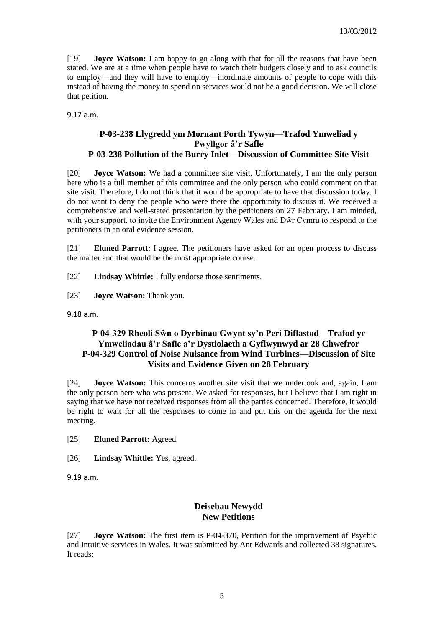[19] **Joyce Watson:** I am happy to go along with that for all the reasons that have been stated. We are at a time when people have to watch their budgets closely and to ask councils to employ—and they will have to employ—inordinate amounts of people to cope with this instead of having the money to spend on services would not be a good decision. We will close that petition.

<span id="page-4-0"></span>9.17 a.m.

### **P-03-238 Llygredd ym Mornant Porth Tywyn—Trafod Ymweliad y Pwyllgor â'r Safle P-03-238 Pollution of the Burry Inlet—Discussion of Committee Site Visit**

[20] **Joyce Watson:** We had a committee site visit. Unfortunately, I am the only person here who is a full member of this committee and the only person who could comment on that site visit. Therefore, I do not think that it would be appropriate to have that discussion today. I do not want to deny the people who were there the opportunity to discuss it. We received a comprehensive and well-stated presentation by the petitioners on 27 February. I am minded, with your support, to invite the Environment Agency Wales and Dŵr Cymru to respond to the petitioners in an oral evidence session.

[21] **Eluned Parrott:** I agree. The petitioners have asked for an open process to discuss the matter and that would be the most appropriate course.

[22] **Lindsay Whittle:** I fully endorse those sentiments.

[23] **Joyce Watson:** Thank you.

9.18 a.m.

# <span id="page-4-1"></span>**P-04-329 Rheoli Sŵn o Dyrbinau Gwynt sy'n Peri Diflastod—Trafod yr Ymweliadau â'r Safle a'r Dystiolaeth a Gyflwynwyd ar 28 Chwefror P-04-329 Control of Noise Nuisance from Wind Turbines—Discussion of Site Visits and Evidence Given on 28 February**

[24] **Joyce Watson:** This concerns another site visit that we undertook and, again, I am the only person here who was present. We asked for responses, but I believe that I am right in saying that we have not received responses from all the parties concerned. Therefore, it would be right to wait for all the responses to come in and put this on the agenda for the next meeting.

[25] **Eluned Parrott:** Agreed.

[26] **Lindsay Whittle:** Yes, agreed.

9.19 a.m.

### <span id="page-4-2"></span>**Deisebau Newydd New Petitions**

[27] **Joyce Watson:** The first item is P-04-370, Petition for the improvement of Psychic and Intuitive services in Wales. It was submitted by Ant Edwards and collected 38 signatures. It reads: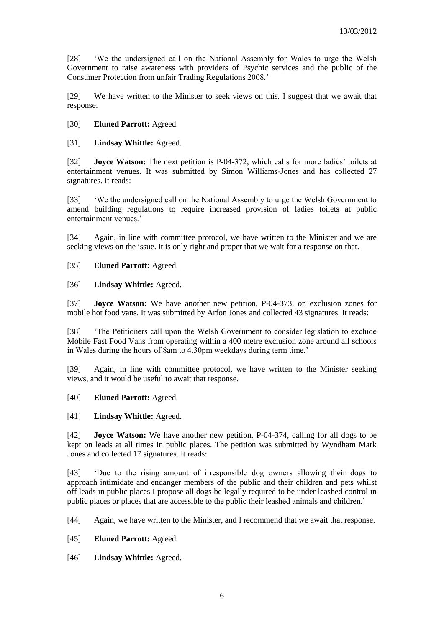[28] 'We the undersigned call on the National Assembly for Wales to urge the Welsh Government to raise awareness with providers of Psychic services and the public of the Consumer Protection from unfair Trading Regulations 2008.'

[29] We have written to the Minister to seek views on this. I suggest that we await that response.

[30] **Eluned Parrott:** Agreed.

[31] **Lindsay Whittle:** Agreed.

[32] **Joyce Watson:** The next petition is P-04-372, which calls for more ladies' toilets at entertainment venues. It was submitted by Simon Williams-Jones and has collected 27 signatures. It reads:

[33] 'We the undersigned call on the National Assembly to urge the Welsh Government to amend building regulations to require increased provision of ladies toilets at public entertainment venues.'

[34] Again, in line with committee protocol, we have written to the Minister and we are seeking views on the issue. It is only right and proper that we wait for a response on that.

[35] **Eluned Parrott:** Agreed.

[36] **Lindsay Whittle:** Agreed.

[37] **Joyce Watson:** We have another new petition, P-04-373, on exclusion zones for mobile hot food vans. It was submitted by Arfon Jones and collected 43 signatures. It reads:

[38] 'The Petitioners call upon the Welsh Government to consider legislation to exclude Mobile Fast Food Vans from operating within a 400 metre exclusion zone around all schools in Wales during the hours of 8am to 4.30pm weekdays during term time.'

[39] Again, in line with committee protocol, we have written to the Minister seeking views, and it would be useful to await that response.

[40] **Eluned Parrott:** Agreed.

[41] **Lindsay Whittle:** Agreed.

[42] **Joyce Watson:** We have another new petition, P-04-374, calling for all dogs to be kept on leads at all times in public places. The petition was submitted by Wyndham Mark Jones and collected 17 signatures. It reads:

[43] 'Due to the rising amount of irresponsible dog owners allowing their dogs to approach intimidate and endanger members of the public and their children and pets whilst off leads in public places I propose all dogs be legally required to be under leashed control in public places or places that are accessible to the public their leashed animals and children.'

[44] Again, we have written to the Minister, and I recommend that we await that response.

[45] **Eluned Parrott:** Agreed.

[46] **Lindsay Whittle:** Agreed.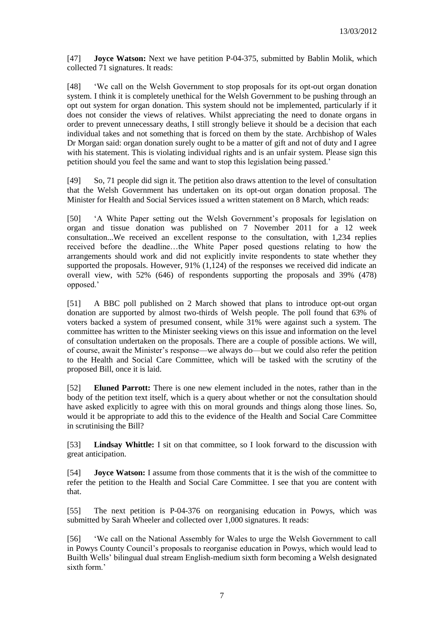[47] **Joyce Watson:** Next we have petition P-04-375, submitted by Bablin Molik, which collected 71 signatures. It reads:

[48] 'We call on the Welsh Government to stop proposals for its opt-out organ donation system. I think it is completely unethical for the Welsh Government to be pushing through an opt out system for organ donation. This system should not be implemented, particularly if it does not consider the views of relatives. Whilst appreciating the need to donate organs in order to prevent unnecessary deaths, I still strongly believe it should be a decision that each individual takes and not something that is forced on them by the state. Archbishop of Wales Dr Morgan said: organ donation surely ought to be a matter of gift and not of duty and I agree with his statement. This is violating individual rights and is an unfair system. Please sign this petition should you feel the same and want to stop this legislation being passed.'

[49] So, 71 people did sign it. The petition also draws attention to the level of consultation that the Welsh Government has undertaken on its opt-out organ donation proposal. The Minister for Health and Social Services issued a written statement on 8 March, which reads:

[50] 'A White Paper setting out the Welsh Government's proposals for legislation on organ and tissue donation was published on 7 November 2011 for a 12 week consultation...We received an excellent response to the consultation, with 1,234 replies received before the deadline…the White Paper posed questions relating to how the arrangements should work and did not explicitly invite respondents to state whether they supported the proposals. However, 91% (1,124) of the responses we received did indicate an overall view, with 52% (646) of respondents supporting the proposals and 39% (478) opposed.'

[51] A BBC poll published on 2 March showed that plans to introduce opt-out organ donation are supported by almost two-thirds of Welsh people. The poll found that 63% of voters backed a system of presumed consent, while 31% were against such a system. The committee has written to the Minister seeking views on this issue and information on the level of consultation undertaken on the proposals. There are a couple of possible actions. We will, of course, await the Minister's response—we always do—but we could also refer the petition to the Health and Social Care Committee, which will be tasked with the scrutiny of the proposed Bill, once it is laid.

[52] **Eluned Parrott:** There is one new element included in the notes, rather than in the body of the petition text itself, which is a query about whether or not the consultation should have asked explicitly to agree with this on moral grounds and things along those lines. So, would it be appropriate to add this to the evidence of the Health and Social Care Committee in scrutinising the Bill?

[53] **Lindsay Whittle:** I sit on that committee, so I look forward to the discussion with great anticipation.

[54] **Joyce Watson:** I assume from those comments that it is the wish of the committee to refer the petition to the Health and Social Care Committee. I see that you are content with that.

[55] The next petition is P-04-376 on reorganising education in Powys, which was submitted by Sarah Wheeler and collected over 1,000 signatures. It reads:

[56] 'We call on the National Assembly for Wales to urge the Welsh Government to call in Powys County Council's proposals to reorganise education in Powys, which would lead to Builth Wells' bilingual dual stream English-medium sixth form becoming a Welsh designated sixth form.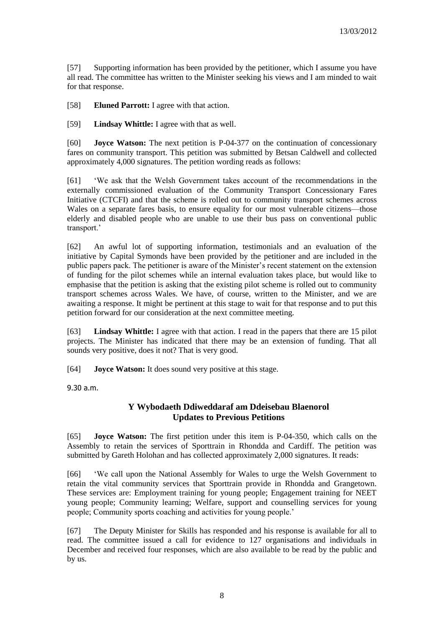[57] Supporting information has been provided by the petitioner, which I assume you have all read. The committee has written to the Minister seeking his views and I am minded to wait for that response.

[58] **Eluned Parrott:** I agree with that action.

[59] **Lindsay Whittle:** I agree with that as well.

[60] **Joyce Watson:** The next petition is P-04-377 on the continuation of concessionary fares on community transport. This petition was submitted by Betsan Caldwell and collected approximately 4,000 signatures. The petition wording reads as follows:

[61] 'We ask that the Welsh Government takes account of the recommendations in the externally commissioned evaluation of the Community Transport Concessionary Fares Initiative (CTCFI) and that the scheme is rolled out to community transport schemes across Wales on a separate fares basis, to ensure equality for our most vulnerable citizens—those elderly and disabled people who are unable to use their bus pass on conventional public transport.'

[62] An awful lot of supporting information, testimonials and an evaluation of the initiative by Capital Symonds have been provided by the petitioner and are included in the public papers pack. The petitioner is aware of the Minister's recent statement on the extension of funding for the pilot schemes while an internal evaluation takes place, but would like to emphasise that the petition is asking that the existing pilot scheme is rolled out to community transport schemes across Wales. We have, of course, written to the Minister, and we are awaiting a response. It might be pertinent at this stage to wait for that response and to put this petition forward for our consideration at the next committee meeting.

[63] **Lindsay Whittle:** I agree with that action. I read in the papers that there are 15 pilot projects. The Minister has indicated that there may be an extension of funding. That all sounds very positive, does it not? That is very good.

[64] **Joyce Watson:** It does sound very positive at this stage.

<span id="page-7-0"></span>9.30 a.m.

# **Y Wybodaeth Ddiweddaraf am Ddeisebau Blaenorol Updates to Previous Petitions**

[65] **Joyce Watson:** The first petition under this item is P-04-350, which calls on the Assembly to retain the services of Sporttrain in Rhondda and Cardiff. The petition was submitted by Gareth Holohan and has collected approximately 2,000 signatures. It reads:

[66] 'We call upon the National Assembly for Wales to urge the Welsh Government to retain the vital community services that Sporttrain provide in Rhondda and Grangetown. These services are: Employment training for young people; Engagement training for NEET young people; Community learning; Welfare, support and counselling services for young people; Community sports coaching and activities for young people.'

[67] The Deputy Minister for Skills has responded and his response is available for all to read. The committee issued a call for evidence to 127 organisations and individuals in December and received four responses, which are also available to be read by the public and by us.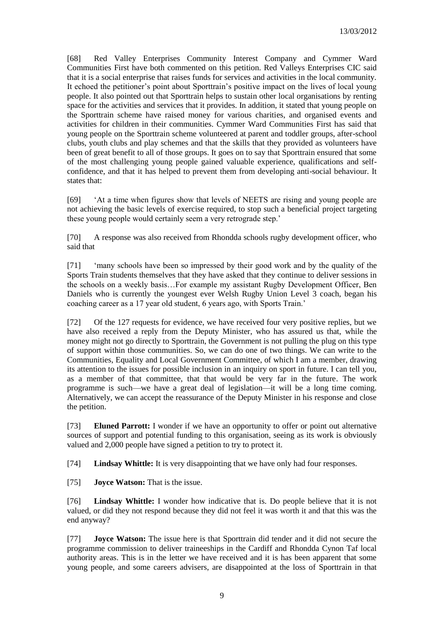[68] Red Valley Enterprises Community Interest Company and Cymmer Ward Communities First have both commented on this petition. Red Valleys Enterprises CIC said that it is a social enterprise that raises funds for services and activities in the local community. It echoed the petitioner's point about Sporttrain's positive impact on the lives of local young people. It also pointed out that Sporttrain helps to sustain other local organisations by renting space for the activities and services that it provides. In addition, it stated that young people on the Sporttrain scheme have raised money for various charities, and organised events and activities for children in their communities. Cymmer Ward Communities First has said that young people on the Sporttrain scheme volunteered at parent and toddler groups, after-school clubs, youth clubs and play schemes and that the skills that they provided as volunteers have been of great benefit to all of those groups. It goes on to say that Sporttrain ensured that some of the most challenging young people gained valuable experience, qualifications and selfconfidence, and that it has helped to prevent them from developing anti-social behaviour. It states that:

[69] 'At a time when figures show that levels of NEETS are rising and young people are not achieving the basic levels of exercise required, to stop such a beneficial project targeting these young people would certainly seem a very retrograde step.'

[70] A response was also received from Rhondda schools rugby development officer, who said that

[71] 'many schools have been so impressed by their good work and by the quality of the Sports Train students themselves that they have asked that they continue to deliver sessions in the schools on a weekly basis…For example my assistant Rugby Development Officer, Ben Daniels who is currently the youngest ever Welsh Rugby Union Level 3 coach, began his coaching career as a 17 year old student, 6 years ago, with Sports Train.'

[72] Of the 127 requests for evidence, we have received four very positive replies, but we have also received a reply from the Deputy Minister, who has assured us that, while the money might not go directly to Sporttrain, the Government is not pulling the plug on this type of support within those communities. So, we can do one of two things. We can write to the Communities, Equality and Local Government Committee, of which I am a member, drawing its attention to the issues for possible inclusion in an inquiry on sport in future. I can tell you, as a member of that committee, that that would be very far in the future. The work programme is such—we have a great deal of legislation—it will be a long time coming. Alternatively, we can accept the reassurance of the Deputy Minister in his response and close the petition.

[73] **Eluned Parrott:** I wonder if we have an opportunity to offer or point out alternative sources of support and potential funding to this organisation, seeing as its work is obviously valued and 2,000 people have signed a petition to try to protect it.

[74] **Lindsay Whittle:** It is very disappointing that we have only had four responses.

[75] **Joyce Watson:** That is the issue.

[76] **Lindsay Whittle:** I wonder how indicative that is. Do people believe that it is not valued, or did they not respond because they did not feel it was worth it and that this was the end anyway?

[77] **Joyce Watson:** The issue here is that Sporttrain did tender and it did not secure the programme commission to deliver traineeships in the Cardiff and Rhondda Cynon Taf local authority areas. This is in the letter we have received and it is has been apparent that some young people, and some careers advisers, are disappointed at the loss of Sporttrain in that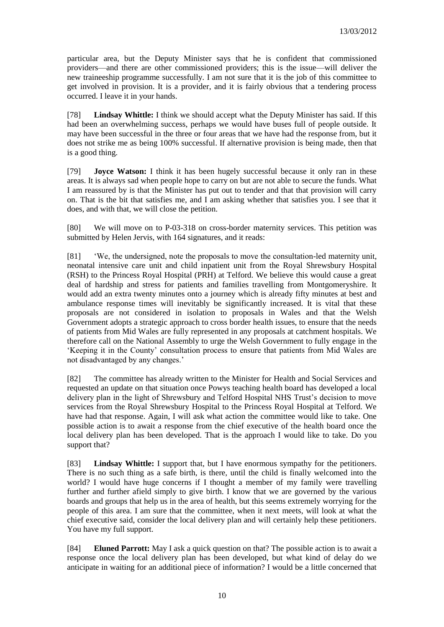particular area, but the Deputy Minister says that he is confident that commissioned providers—and there are other commissioned providers; this is the issue—will deliver the new traineeship programme successfully. I am not sure that it is the job of this committee to get involved in provision. It is a provider, and it is fairly obvious that a tendering process occurred. I leave it in your hands.

[78] **Lindsay Whittle:** I think we should accept what the Deputy Minister has said. If this had been an overwhelming success, perhaps we would have buses full of people outside. It may have been successful in the three or four areas that we have had the response from, but it does not strike me as being 100% successful. If alternative provision is being made, then that is a good thing.

[79] **Joyce Watson:** I think it has been hugely successful because it only ran in these areas. It is always sad when people hope to carry on but are not able to secure the funds. What I am reassured by is that the Minister has put out to tender and that that provision will carry on. That is the bit that satisfies me, and I am asking whether that satisfies you. I see that it does, and with that, we will close the petition.

[80] We will move on to P-03-318 on cross-border maternity services. This petition was submitted by Helen Jervis, with 164 signatures, and it reads:

[81] 'We, the undersigned, note the proposals to move the consultation-led maternity unit, neonatal intensive care unit and child inpatient unit from the Royal Shrewsbury Hospital (RSH) to the Princess Royal Hospital (PRH) at Telford. We believe this would cause a great deal of hardship and stress for patients and families travelling from Montgomeryshire. It would add an extra twenty minutes onto a journey which is already fifty minutes at best and ambulance response times will inevitably be significantly increased. It is vital that these proposals are not considered in isolation to proposals in Wales and that the Welsh Government adopts a strategic approach to cross border health issues, to ensure that the needs of patients from Mid Wales are fully represented in any proposals at catchment hospitals. We therefore call on the National Assembly to urge the Welsh Government to fully engage in the 'Keeping it in the County' consultation process to ensure that patients from Mid Wales are not disadvantaged by any changes.'

[82] The committee has already written to the Minister for Health and Social Services and requested an update on that situation once Powys teaching health board has developed a local delivery plan in the light of Shrewsbury and Telford Hospital NHS Trust's decision to move services from the Royal Shrewsbury Hospital to the Princess Royal Hospital at Telford. We have had that response. Again, I will ask what action the committee would like to take. One possible action is to await a response from the chief executive of the health board once the local delivery plan has been developed. That is the approach I would like to take. Do you support that?

[83] **Lindsay Whittle:** I support that, but I have enormous sympathy for the petitioners. There is no such thing as a safe birth, is there, until the child is finally welcomed into the world? I would have huge concerns if I thought a member of my family were travelling further and further afield simply to give birth. I know that we are governed by the various boards and groups that help us in the area of health, but this seems extremely worrying for the people of this area. I am sure that the committee, when it next meets, will look at what the chief executive said, consider the local delivery plan and will certainly help these petitioners. You have my full support.

[84] **Eluned Parrott:** May I ask a quick question on that? The possible action is to await a response once the local delivery plan has been developed, but what kind of delay do we anticipate in waiting for an additional piece of information? I would be a little concerned that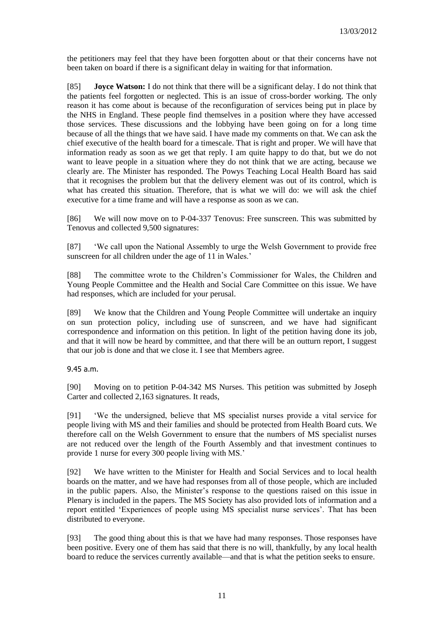the petitioners may feel that they have been forgotten about or that their concerns have not been taken on board if there is a significant delay in waiting for that information.

[85] **Joyce Watson:** I do not think that there will be a significant delay. I do not think that the patients feel forgotten or neglected. This is an issue of cross-border working. The only reason it has come about is because of the reconfiguration of services being put in place by the NHS in England. These people find themselves in a position where they have accessed those services. These discussions and the lobbying have been going on for a long time because of all the things that we have said. I have made my comments on that. We can ask the chief executive of the health board for a timescale. That is right and proper. We will have that information ready as soon as we get that reply. I am quite happy to do that, but we do not want to leave people in a situation where they do not think that we are acting, because we clearly are. The Minister has responded. The Powys Teaching Local Health Board has said that it recognises the problem but that the delivery element was out of its control, which is what has created this situation. Therefore, that is what we will do: we will ask the chief executive for a time frame and will have a response as soon as we can.

[86] We will now move on to P-04-337 Tenovus: Free sunscreen. This was submitted by Tenovus and collected 9,500 signatures:

[87] 'We call upon the National Assembly to urge the Welsh Government to provide free sunscreen for all children under the age of 11 in Wales.'

[88] The committee wrote to the Children's Commissioner for Wales, the Children and Young People Committee and the Health and Social Care Committee on this issue. We have had responses, which are included for your perusal.

[89] We know that the Children and Young People Committee will undertake an inquiry on sun protection policy, including use of sunscreen, and we have had significant correspondence and information on this petition. In light of the petition having done its job, and that it will now be heard by committee, and that there will be an outturn report, I suggest that our job is done and that we close it. I see that Members agree.

9.45 a.m.

[90] Moving on to petition P-04-342 MS Nurses. This petition was submitted by Joseph Carter and collected 2,163 signatures. It reads,

[91] 'We the undersigned, believe that MS specialist nurses provide a vital service for people living with MS and their families and should be protected from Health Board cuts. We therefore call on the Welsh Government to ensure that the numbers of MS specialist nurses are not reduced over the length of the Fourth Assembly and that investment continues to provide 1 nurse for every 300 people living with MS.'

[92] We have written to the Minister for Health and Social Services and to local health boards on the matter, and we have had responses from all of those people, which are included in the public papers. Also, the Minister's response to the questions raised on this issue in Plenary is included in the papers. The MS Society has also provided lots of information and a report entitled 'Experiences of people using MS specialist nurse services'. That has been distributed to everyone.

[93] The good thing about this is that we have had many responses. Those responses have been positive. Every one of them has said that there is no will, thankfully, by any local health board to reduce the services currently available—and that is what the petition seeks to ensure.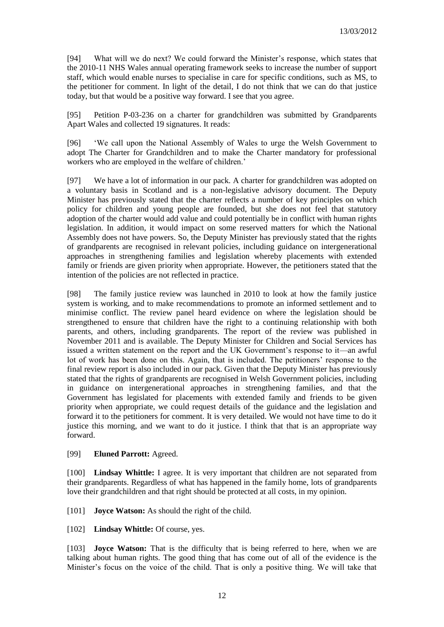[94] What will we do next? We could forward the Minister's response, which states that the 2010-11 NHS Wales annual operating framework seeks to increase the number of support staff, which would enable nurses to specialise in care for specific conditions, such as MS, to the petitioner for comment. In light of the detail, I do not think that we can do that justice today, but that would be a positive way forward. I see that you agree.

[95] Petition P-03-236 on a charter for grandchildren was submitted by Grandparents Apart Wales and collected 19 signatures. It reads:

[96] 'We call upon the National Assembly of Wales to urge the Welsh Government to adopt The Charter for Grandchildren and to make the Charter mandatory for professional workers who are employed in the welfare of children.'

[97] We have a lot of information in our pack. A charter for grandchildren was adopted on a voluntary basis in Scotland and is a non-legislative advisory document. The Deputy Minister has previously stated that the charter reflects a number of key principles on which policy for children and young people are founded, but she does not feel that statutory adoption of the charter would add value and could potentially be in conflict with human rights legislation. In addition, it would impact on some reserved matters for which the National Assembly does not have powers. So, the Deputy Minister has previously stated that the rights of grandparents are recognised in relevant policies, including guidance on intergenerational approaches in strengthening families and legislation whereby placements with extended family or friends are given priority when appropriate. However, the petitioners stated that the intention of the policies are not reflected in practice.

[98] The family justice review was launched in 2010 to look at how the family justice system is working, and to make recommendations to promote an informed settlement and to minimise conflict. The review panel heard evidence on where the legislation should be strengthened to ensure that children have the right to a continuing relationship with both parents, and others, including grandparents. The report of the review was published in November 2011 and is available. The Deputy Minister for Children and Social Services has issued a written statement on the report and the UK Government's response to it—an awful lot of work has been done on this. Again, that is included. The petitioners' response to the final review report is also included in our pack. Given that the Deputy Minister has previously stated that the rights of grandparents are recognised in Welsh Government policies, including in guidance on intergenerational approaches in strengthening families, and that the Government has legislated for placements with extended family and friends to be given priority when appropriate, we could request details of the guidance and the legislation and forward it to the petitioners for comment. It is very detailed. We would not have time to do it justice this morning, and we want to do it justice. I think that that is an appropriate way forward.

#### [99] **Eluned Parrott:** Agreed.

[100] **Lindsay Whittle:** I agree. It is very important that children are not separated from their grandparents. Regardless of what has happened in the family home, lots of grandparents love their grandchildren and that right should be protected at all costs, in my opinion.

[101] **Joyce Watson:** As should the right of the child.

[102] **Lindsay Whittle:** Of course, yes.

[103] **Joyce Watson:** That is the difficulty that is being referred to here, when we are talking about human rights. The good thing that has come out of all of the evidence is the Minister's focus on the voice of the child. That is only a positive thing. We will take that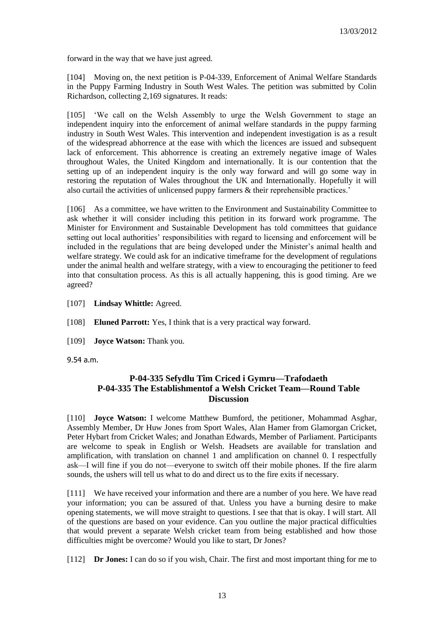forward in the way that we have just agreed.

[104] Moving on, the next petition is P-04-339, Enforcement of Animal Welfare Standards in the Puppy Farming Industry in South West Wales. The petition was submitted by Colin Richardson, collecting 2,169 signatures. It reads:

[105] 'We call on the Welsh Assembly to urge the Welsh Government to stage an independent inquiry into the enforcement of animal welfare standards in the puppy farming industry in South West Wales. This intervention and independent investigation is as a result of the widespread abhorrence at the ease with which the licences are issued and subsequent lack of enforcement. This abhorrence is creating an extremely negative image of Wales throughout Wales, the United Kingdom and internationally. It is our contention that the setting up of an independent inquiry is the only way forward and will go some way in restoring the reputation of Wales throughout the UK and Internationally. Hopefully it will also curtail the activities of unlicensed puppy farmers & their reprehensible practices.'

[106] As a committee, we have written to the Environment and Sustainability Committee to ask whether it will consider including this petition in its forward work programme. The Minister for Environment and Sustainable Development has told committees that guidance setting out local authorities' responsibilities with regard to licensing and enforcement will be included in the regulations that are being developed under the Minister's animal health and welfare strategy. We could ask for an indicative timeframe for the development of regulations under the animal health and welfare strategy, with a view to encouraging the petitioner to feed into that consultation process. As this is all actually happening, this is good timing. Are we agreed?

[107] **Lindsay Whittle:** Agreed.

[108] **Eluned Parrott:** Yes, I think that is a very practical way forward.

[109] **Joyce Watson:** Thank you.

<span id="page-12-0"></span>9.54 a.m.

# **P-04-335 Sefydlu Tîm Criced i Gymru—Trafodaeth P-04-335 The Establishmentof a Welsh Cricket Team—Round Table Discussion**

[110] **Joyce Watson:** I welcome Matthew Bumford, the petitioner, Mohammad Asghar, Assembly Member, Dr Huw Jones from Sport Wales, Alan Hamer from Glamorgan Cricket, Peter Hybart from Cricket Wales; and Jonathan Edwards, Member of Parliament. Participants are welcome to speak in English or Welsh. Headsets are available for translation and amplification, with translation on channel 1 and amplification on channel 0. I respectfully ask—I will fine if you do not—everyone to switch off their mobile phones. If the fire alarm sounds, the ushers will tell us what to do and direct us to the fire exits if necessary.

[111] We have received your information and there are a number of you here. We have read your information; you can be assured of that. Unless you have a burning desire to make opening statements, we will move straight to questions. I see that that is okay. I will start. All of the questions are based on your evidence. Can you outline the major practical difficulties that would prevent a separate Welsh cricket team from being established and how those difficulties might be overcome? Would you like to start, Dr Jones?

[112] **Dr Jones:** I can do so if you wish, Chair. The first and most important thing for me to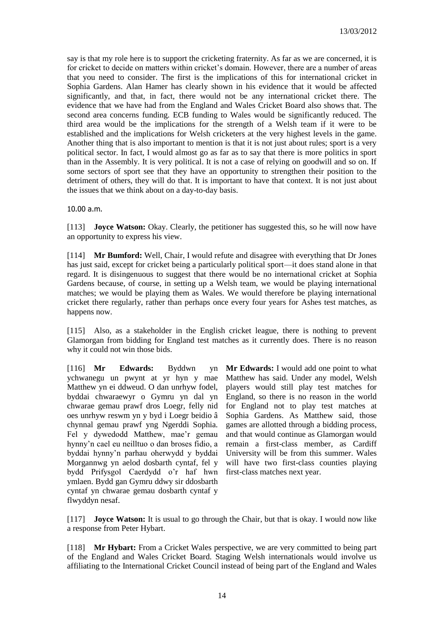say is that my role here is to support the cricketing fraternity. As far as we are concerned, it is for cricket to decide on matters within cricket's domain. However, there are a number of areas that you need to consider. The first is the implications of this for international cricket in Sophia Gardens. Alan Hamer has clearly shown in his evidence that it would be affected significantly, and that, in fact, there would not be any international cricket there. The evidence that we have had from the England and Wales Cricket Board also shows that. The second area concerns funding. ECB funding to Wales would be significantly reduced. The third area would be the implications for the strength of a Welsh team if it were to be established and the implications for Welsh cricketers at the very highest levels in the game. Another thing that is also important to mention is that it is not just about rules; sport is a very political sector. In fact, I would almost go as far as to say that there is more politics in sport than in the Assembly. It is very political. It is not a case of relying on goodwill and so on. If some sectors of sport see that they have an opportunity to strengthen their position to the detriment of others, they will do that. It is important to have that context. It is not just about the issues that we think about on a day-to-day basis.

10.00 a.m.

[113] **Joyce Watson:** Okay. Clearly, the petitioner has suggested this, so he will now have an opportunity to express his view.

[114] **Mr Bumford:** Well, Chair, I would refute and disagree with everything that Dr Jones has just said, except for cricket being a particularly political sport—it does stand alone in that regard. It is disingenuous to suggest that there would be no international cricket at Sophia Gardens because, of course, in setting up a Welsh team, we would be playing international matches; we would be playing them as Wales. We would therefore be playing international cricket there regularly, rather than perhaps once every four years for Ashes test matches, as happens now.

[115] Also, as a stakeholder in the English cricket league, there is nothing to prevent Glamorgan from bidding for England test matches as it currently does. There is no reason why it could not win those bids.

[116] **Mr Edwards:** Byddwn yn ychwanegu un pwynt at yr hyn y mae Matthew yn ei ddweud. O dan unrhyw fodel, byddai chwaraewyr o Gymru yn dal yn chwarae gemau prawf dros Loegr, felly nid oes unrhyw reswm yn y byd i Loegr beidio â chynnal gemau prawf yng Ngerddi Sophia. Fel y dywedodd Matthew, mae'r gemau hynny'n cael eu neilltuo o dan broses fidio, a byddai hynny'n parhau oherwydd y byddai Morgannwg yn aelod dosbarth cyntaf, fel y bydd Prifysgol Caerdydd o'r haf hwn ymlaen. Bydd gan Gymru ddwy sir ddosbarth cyntaf yn chwarae gemau dosbarth cyntaf y flwyddyn nesaf.

**Mr Edwards:** I would add one point to what Matthew has said. Under any model, Welsh players would still play test matches for England, so there is no reason in the world for England not to play test matches at Sophia Gardens. As Matthew said, those games are allotted through a bidding process, and that would continue as Glamorgan would remain a first-class member, as Cardiff University will be from this summer. Wales will have two first-class counties playing first-class matches next year.

[117] **Joyce Watson:** It is usual to go through the Chair, but that is okay. I would now like a response from Peter Hybart.

[118] **Mr Hybart:** From a Cricket Wales perspective, we are very committed to being part of the England and Wales Cricket Board. Staging Welsh internationals would involve us affiliating to the International Cricket Council instead of being part of the England and Wales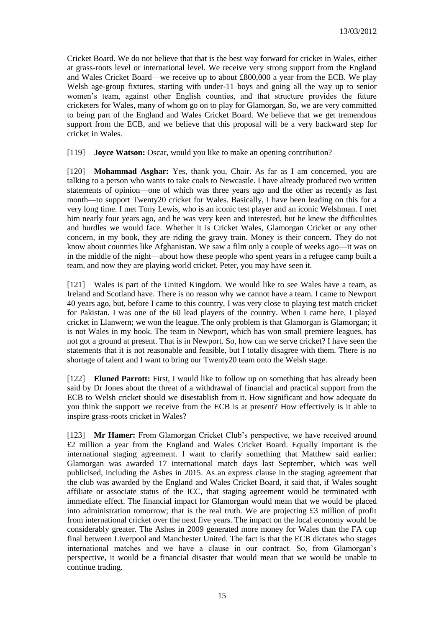Cricket Board. We do not believe that that is the best way forward for cricket in Wales, either at grass-roots level or international level. We receive very strong support from the England and Wales Cricket Board—we receive up to about £800,000 a year from the ECB. We play Welsh age-group fixtures, starting with under-11 boys and going all the way up to senior women's team, against other English counties, and that structure provides the future cricketers for Wales, many of whom go on to play for Glamorgan. So, we are very committed to being part of the England and Wales Cricket Board. We believe that we get tremendous support from the ECB, and we believe that this proposal will be a very backward step for cricket in Wales.

[119] **Joyce Watson:** Oscar, would you like to make an opening contribution?

[120] **Mohammad Asghar:** Yes, thank you, Chair. As far as I am concerned, you are talking to a person who wants to take coals to Newcastle. I have already produced two written statements of opinion—one of which was three years ago and the other as recently as last month—to support Twenty20 cricket for Wales. Basically, I have been leading on this for a very long time. I met Tony Lewis, who is an iconic test player and an iconic Welshman. I met him nearly four years ago, and he was very keen and interested, but he knew the difficulties and hurdles we would face. Whether it is Cricket Wales, Glamorgan Cricket or any other concern, in my book, they are riding the gravy train. Money is their concern. They do not know about countries like Afghanistan. We saw a film only a couple of weeks ago—it was on in the middle of the night—about how these people who spent years in a refugee camp built a team, and now they are playing world cricket. Peter, you may have seen it.

[121] Wales is part of the United Kingdom. We would like to see Wales have a team, as Ireland and Scotland have. There is no reason why we cannot have a team. I came to Newport 40 years ago, but, before I came to this country, I was very close to playing test match cricket for Pakistan. I was one of the 60 lead players of the country. When I came here, I played cricket in Llanwern; we won the league. The only problem is that Glamorgan is Glamorgan; it is not Wales in my book. The team in Newport, which has won small premiere leagues, has not got a ground at present. That is in Newport. So, how can we serve cricket? I have seen the statements that it is not reasonable and feasible, but I totally disagree with them. There is no shortage of talent and I want to bring our Twenty20 team onto the Welsh stage.

[122] **Eluned Parrott:** First, I would like to follow up on something that has already been said by Dr Jones about the threat of a withdrawal of financial and practical support from the ECB to Welsh cricket should we disestablish from it. How significant and how adequate do you think the support we receive from the ECB is at present? How effectively is it able to inspire grass-roots cricket in Wales?

[123] **Mr Hamer:** From Glamorgan Cricket Club's perspective, we have received around £2 million a year from the England and Wales Cricket Board. Equally important is the international staging agreement. I want to clarify something that Matthew said earlier: Glamorgan was awarded 17 international match days last September, which was well publicised, including the Ashes in 2015. As an express clause in the staging agreement that the club was awarded by the England and Wales Cricket Board, it said that, if Wales sought affiliate or associate status of the ICC, that staging agreement would be terminated with immediate effect. The financial impact for Glamorgan would mean that we would be placed into administration tomorrow; that is the real truth. We are projecting £3 million of profit from international cricket over the next five years. The impact on the local economy would be considerably greater. The Ashes in 2009 generated more money for Wales than the FA cup final between Liverpool and Manchester United. The fact is that the ECB dictates who stages international matches and we have a clause in our contract. So, from Glamorgan's perspective, it would be a financial disaster that would mean that we would be unable to continue trading.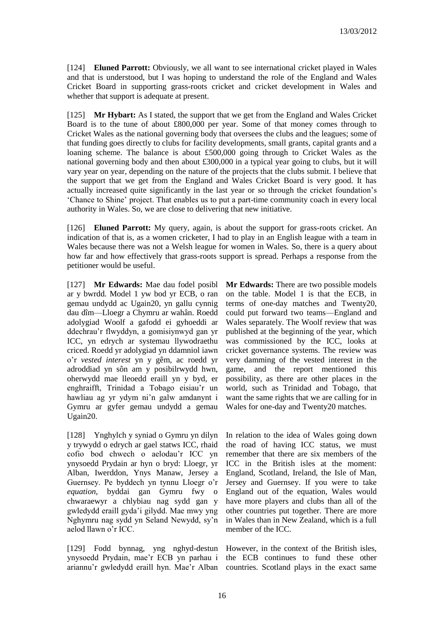[124] **Eluned Parrott:** Obviously, we all want to see international cricket played in Wales and that is understood, but I was hoping to understand the role of the England and Wales Cricket Board in supporting grass-roots cricket and cricket development in Wales and whether that support is adequate at present.

[125] **Mr Hybart:** As I stated, the support that we get from the England and Wales Cricket Board is to the tune of about £800,000 per year. Some of that money comes through to Cricket Wales as the national governing body that oversees the clubs and the leagues; some of that funding goes directly to clubs for facility developments, small grants, capital grants and a loaning scheme. The balance is about £500,000 going through to Cricket Wales as the national governing body and then about £300,000 in a typical year going to clubs, but it will vary year on year, depending on the nature of the projects that the clubs submit. I believe that the support that we get from the England and Wales Cricket Board is very good. It has actually increased quite significantly in the last year or so through the cricket foundation's 'Chance to Shine' project. That enables us to put a part-time community coach in every local authority in Wales. So, we are close to delivering that new initiative.

[126] **Eluned Parrott:** My query, again, is about the support for grass-roots cricket. An indication of that is, as a women cricketer, I had to play in an English league with a team in Wales because there was not a Welsh league for women in Wales. So, there is a query about how far and how effectively that grass-roots support is spread. Perhaps a response from the petitioner would be useful.

[127] **Mr Edwards:** Mae dau fodel posibl ar y bwrdd. Model 1 yw bod yr ECB, o ran gemau undydd ac Ugain20, yn gallu cynnig dau dîm—Lloegr a Chymru ar wahân. Roedd adolygiad Woolf a gafodd ei gyhoeddi ar ddechrau'r flwyddyn, a gomisiynwyd gan yr ICC, yn edrych ar systemau llywodraethu criced. Roedd yr adolygiad yn ddamniol iawn o'r *vested interest* yn y gêm, ac roedd yr adroddiad yn sôn am y posibilrwydd hwn, oherwydd mae lleoedd eraill yn y byd, er enghraifft, Trinidad a Tobago eisiau'r un hawliau ag yr ydym ni'n galw amdanynt i Gymru ar gyfer gemau undydd a gemau Ugain20.

[128] Ynghylch y syniad o Gymru yn dilyn y trywydd o edrych ar gael statws ICC, rhaid cofio bod chwech o aelodau'r ICC yn ynysoedd Prydain ar hyn o bryd: Lloegr, yr Alban, Iwerddon, Ynys Manaw, Jersey a Guernsey. Pe byddech yn tynnu Lloegr o'r *equation*, byddai gan Gymru fwy o chwaraewyr a chlybiau nag sydd gan y gwledydd eraill gyda'i gilydd. Mae mwy yng Nghymru nag sydd yn Seland Newydd, sy'n aelod llawn o'r ICC.

[129] Fodd bynnag, yng nghyd-destun ynysoedd Prydain, mae'r ECB yn parhau i ariannu'r gwledydd eraill hyn. Mae'r Alban countries. Scotland plays in the exact same

**Mr Edwards:** There are two possible models on the table. Model 1 is that the ECB, in terms of one-day matches and Twenty20, could put forward two teams—England and Wales separately. The Woolf review that was published at the beginning of the year, which was commissioned by the ICC, looks at cricket governance systems. The review was very damming of the vested interest in the game, and the report mentioned this possibility, as there are other places in the world, such as Trinidad and Tobago, that want the same rights that we are calling for in Wales for one-day and Twenty20 matches.

In relation to the idea of Wales going down the road of having ICC status, we must remember that there are six members of the ICC in the British isles at the moment: England, Scotland, Ireland, the Isle of Man, Jersey and Guernsey. If you were to take England out of the equation, Wales would have more players and clubs than all of the other countries put together. There are more in Wales than in New Zealand, which is a full member of the ICC.

However, in the context of the British isles, the ECB continues to fund these other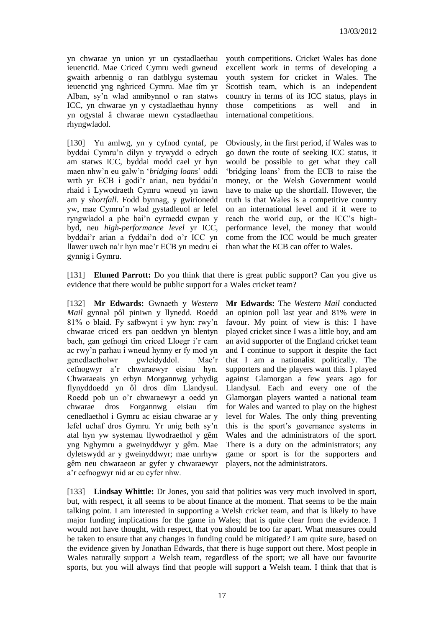yn chwarae yn union yr un cystadlaethau ieuenctid. Mae Criced Cymru wedi gwneud gwaith arbennig o ran datblygu systemau ieuenctid yng nghriced Cymru. Mae tîm yr Alban, sy'n wlad annibynnol o ran statws ICC, yn chwarae yn y cystadlaethau hynny yn ogystal â chwarae mewn cystadlaethau rhyngwladol.

[130] Yn amlwg, yn y cyfnod cyntaf, pe byddai Cymru'n dilyn y trywydd o edrych am statws ICC, byddai modd cael yr hyn maen nhw'n eu galw'n '*bridging loans*' oddi wrth yr ECB i godi'r arian, neu byddai'n rhaid i Lywodraeth Cymru wneud yn iawn am y *shortfall*. Fodd bynnag, y gwirionedd yw, mae Cymru'n wlad gystadleuol ar lefel ryngwladol a phe bai'n cyrraedd cwpan y byd, neu *high-performance level* yr ICC, byddai'r arian a fyddai'n dod o'r ICC yn llawer uwch na'r hyn mae'r ECB yn medru ei gynnig i Gymru.

youth competitions. Cricket Wales has done excellent work in terms of developing a youth system for cricket in Wales. The Scottish team, which is an independent country in terms of its ICC status, plays in those competitions as well and in international competitions.

Obviously, in the first period, if Wales was to go down the route of seeking ICC status, it would be possible to get what they call 'bridging loans' from the ECB to raise the money, or the Welsh Government would have to make up the shortfall. However, the truth is that Wales is a competitive country on an international level and if it were to reach the world cup, or the ICC's highperformance level, the money that would come from the ICC would be much greater than what the ECB can offer to Wales.

[131] **Eluned Parrott:** Do you think that there is great public support? Can you give us evidence that there would be public support for a Wales cricket team?

[132] **Mr Edwards:** Gwnaeth y *Western Mail* gynnal pôl piniwn y llynedd. Roedd 81% o blaid. Fy safbwynt i yw hyn: rwy'n chwarae criced ers pan oeddwn yn blentyn bach, gan gefnogi tîm criced Lloegr i'r carn ac rwy'n parhau i wneud hynny er fy mod yn genedlaetholwr gwleidyddol. Mae'r cefnogwyr a'r chwaraewyr eisiau hyn. Chwaraeais yn erbyn Morgannwg ychydig flynyddoedd yn ôl dros dîm Llandysul. Roedd pob un o'r chwaraewyr a oedd yn chwarae dros Forgannwg eisiau tîm cenedlaethol i Gymru ac eisiau chwarae ar y lefel uchaf dros Gymru. Yr unig beth sy'n atal hyn yw systemau llywodraethol y gêm yng Nghymru a gweinyddwyr y gêm. Mae dyletswydd ar y gweinyddwyr; mae unrhyw gêm neu chwaraeon ar gyfer y chwaraewyr a'r cefnogwyr nid ar eu cyfer nhw.

**Mr Edwards:** The *Western Mail* conducted an opinion poll last year and 81% were in favour. My point of view is this: I have played cricket since I was a little boy, and am an avid supporter of the England cricket team and I continue to support it despite the fact that I am a nationalist politically. The supporters and the players want this. I played against Glamorgan a few years ago for Llandysul. Each and every one of the Glamorgan players wanted a national team for Wales and wanted to play on the highest level for Wales. The only thing preventing this is the sport's governance systems in Wales and the administrators of the sport. There is a duty on the administrators; any game or sport is for the supporters and players, not the administrators.

[133] **Lindsay Whittle:** Dr Jones, you said that politics was very much involved in sport, but, with respect, it all seems to be about finance at the moment. That seems to be the main talking point. I am interested in supporting a Welsh cricket team, and that is likely to have major funding implications for the game in Wales; that is quite clear from the evidence. I would not have thought, with respect, that you should be too far apart. What measures could be taken to ensure that any changes in funding could be mitigated? I am quite sure, based on the evidence given by Jonathan Edwards, that there is huge support out there. Most people in Wales naturally support a Welsh team, regardless of the sport; we all have our favourite sports, but you will always find that people will support a Welsh team. I think that that is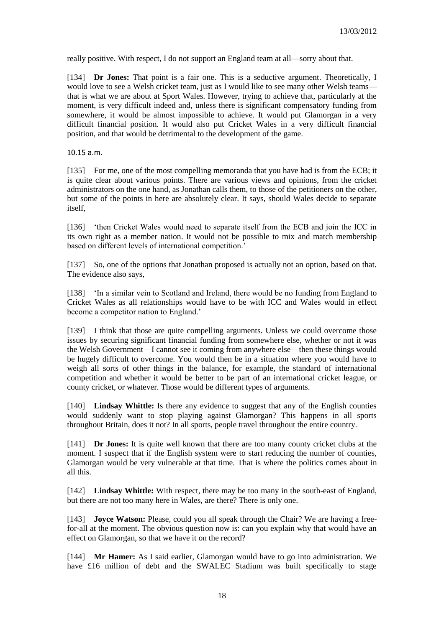really positive. With respect, I do not support an England team at all—sorry about that.

[134] **Dr Jones:** That point is a fair one. This is a seductive argument. Theoretically, I would love to see a Welsh cricket team, just as I would like to see many other Welsh teams that is what we are about at Sport Wales. However, trying to achieve that, particularly at the moment, is very difficult indeed and, unless there is significant compensatory funding from somewhere, it would be almost impossible to achieve. It would put Glamorgan in a very difficult financial position. It would also put Cricket Wales in a very difficult financial position, and that would be detrimental to the development of the game.

10.15 a.m.

[135] For me, one of the most compelling memoranda that you have had is from the ECB; it is quite clear about various points. There are various views and opinions, from the cricket administrators on the one hand, as Jonathan calls them, to those of the petitioners on the other, but some of the points in here are absolutely clear. It says, should Wales decide to separate itself,

[136] 'then Cricket Wales would need to separate itself from the ECB and join the ICC in its own right as a member nation. It would not be possible to mix and match membership based on different levels of international competition.'

[137] So, one of the options that Jonathan proposed is actually not an option, based on that. The evidence also says,

[138] 'In a similar vein to Scotland and Ireland, there would be no funding from England to Cricket Wales as all relationships would have to be with ICC and Wales would in effect become a competitor nation to England.'

[139] I think that those are quite compelling arguments. Unless we could overcome those issues by securing significant financial funding from somewhere else, whether or not it was the Welsh Government—I cannot see it coming from anywhere else—then these things would be hugely difficult to overcome. You would then be in a situation where you would have to weigh all sorts of other things in the balance, for example, the standard of international competition and whether it would be better to be part of an international cricket league, or county cricket, or whatever. Those would be different types of arguments.

[140] **Lindsay Whittle:** Is there any evidence to suggest that any of the English counties would suddenly want to stop playing against Glamorgan? This happens in all sports throughout Britain, does it not? In all sports, people travel throughout the entire country.

[141] **Dr Jones:** It is quite well known that there are too many county cricket clubs at the moment. I suspect that if the English system were to start reducing the number of counties, Glamorgan would be very vulnerable at that time. That is where the politics comes about in all this.

[142] **Lindsay Whittle:** With respect, there may be too many in the south-east of England, but there are not too many here in Wales, are there? There is only one.

[143] **Joyce Watson:** Please, could you all speak through the Chair? We are having a freefor-all at the moment. The obvious question now is: can you explain why that would have an effect on Glamorgan, so that we have it on the record?

[144] **Mr Hamer:** As I said earlier, Glamorgan would have to go into administration. We have £16 million of debt and the SWALEC Stadium was built specifically to stage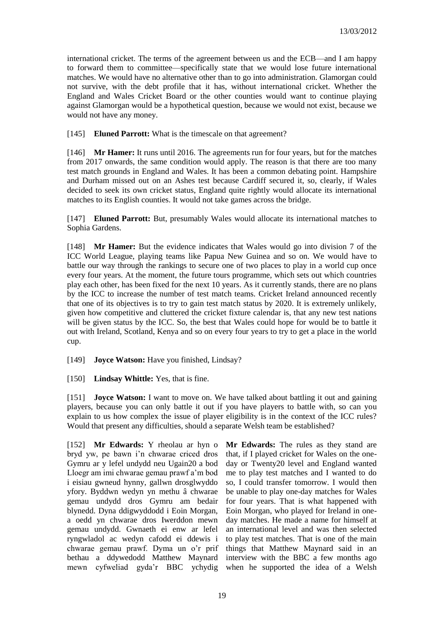international cricket. The terms of the agreement between us and the ECB—and I am happy to forward them to committee—specifically state that we would lose future international matches. We would have no alternative other than to go into administration. Glamorgan could not survive, with the debt profile that it has, without international cricket. Whether the England and Wales Cricket Board or the other counties would want to continue playing against Glamorgan would be a hypothetical question, because we would not exist, because we would not have any money.

[145] **Eluned Parrott:** What is the timescale on that agreement?

[146] **Mr Hamer:** It runs until 2016. The agreements run for four years, but for the matches from 2017 onwards, the same condition would apply. The reason is that there are too many test match grounds in England and Wales. It has been a common debating point. Hampshire and Durham missed out on an Ashes test because Cardiff secured it, so, clearly, if Wales decided to seek its own cricket status, England quite rightly would allocate its international matches to its English counties. It would not take games across the bridge.

[147] **Eluned Parrott:** But, presumably Wales would allocate its international matches to Sophia Gardens.

[148] **Mr Hamer:** But the evidence indicates that Wales would go into division 7 of the ICC World League, playing teams like Papua New Guinea and so on. We would have to battle our way through the rankings to secure one of two places to play in a world cup once every four years. At the moment, the future tours programme, which sets out which countries play each other, has been fixed for the next 10 years. As it currently stands, there are no plans by the ICC to increase the number of test match teams. Cricket Ireland announced recently that one of its objectives is to try to gain test match status by 2020. It is extremely unlikely, given how competitive and cluttered the cricket fixture calendar is, that any new test nations will be given status by the ICC. So, the best that Wales could hope for would be to battle it out with Ireland, Scotland, Kenya and so on every four years to try to get a place in the world cup.

[149] **Joyce Watson:** Have you finished, Lindsay?

[150] **Lindsay Whittle:** Yes, that is fine.

[151] **Joyce Watson:** I want to move on. We have talked about battling it out and gaining players, because you can only battle it out if you have players to battle with, so can you explain to us how complex the issue of player eligibility is in the context of the ICC rules? Would that present any difficulties, should a separate Welsh team be established?

[152] **Mr Edwards:** Y rheolau ar hyn o bryd yw, pe bawn i'n chwarae criced dros Gymru ar y lefel undydd neu Ugain20 a bod Lloegr am imi chwarae gemau prawf a'm bod i eisiau gwneud hynny, gallwn drosglwyddo yfory. Byddwn wedyn yn methu â chwarae gemau undydd dros Gymru am bedair blynedd. Dyna ddigwyddodd i Eoin Morgan, a oedd yn chwarae dros Iwerddon mewn gemau undydd. Gwnaeth ei enw ar lefel ryngwladol ac wedyn cafodd ei ddewis i chwarae gemau prawf. Dyma un o'r prif bethau a ddywedodd Matthew Maynard mewn cyfweliad gyda'r BBC ychydig

**Mr Edwards:** The rules as they stand are that, if I played cricket for Wales on the oneday or Twenty20 level and England wanted me to play test matches and I wanted to do so, I could transfer tomorrow. I would then be unable to play one-day matches for Wales for four years. That is what happened with Eoin Morgan, who played for Ireland in oneday matches. He made a name for himself at an international level and was then selected to play test matches. That is one of the main things that Matthew Maynard said in an interview with the BBC a few months ago when he supported the idea of a Welsh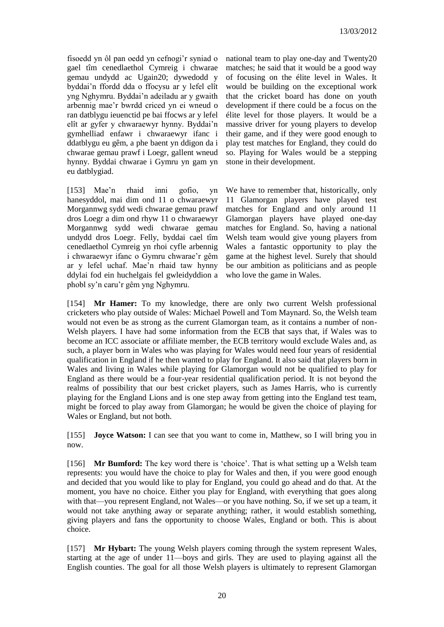fisoedd yn ôl pan oedd yn cefnogi'r syniad o gael tîm cenedlaethol Cymreig i chwarae gemau undydd ac Ugain20; dywedodd y byddai'n ffordd dda o ffocysu ar y lefel elît yng Nghymru. Byddai'n adeiladu ar y gwaith arbennig mae'r bwrdd criced yn ei wneud o ran datblygu ieuenctid pe bai ffocws ar y lefel elît ar gyfer y chwaraewyr hynny. Byddai'n gymhelliad enfawr i chwaraewyr ifanc i ddatblygu eu gêm, a phe baent yn ddigon da i chwarae gemau prawf i Loegr, gallent wneud hynny. Byddai chwarae i Gymru yn gam yn eu datblygiad.

[153] Mae'n rhaid inni gofio, yn hanesyddol, mai dim ond 11 o chwaraewyr Morgannwg sydd wedi chwarae gemau prawf dros Loegr a dim ond rhyw 11 o chwaraewyr Morgannwg sydd wedi chwarae gemau undydd dros Loegr. Felly, byddai cael tîm cenedlaethol Cymreig yn rhoi cyfle arbennig i chwaraewyr ifanc o Gymru chwarae'r gêm ar y lefel uchaf. Mae'n rhaid taw hynny ddylai fod ein huchelgais fel gwleidyddion a phobl sy'n caru'r gêm yng Nghymru.

national team to play one-day and Twenty20 matches; he said that it would be a good way of focusing on the élite level in Wales. It would be building on the exceptional work that the cricket board has done on youth development if there could be a focus on the élite level for those players. It would be a massive driver for young players to develop their game, and if they were good enough to play test matches for England, they could do so. Playing for Wales would be a stepping stone in their development.

We have to remember that, historically, only 11 Glamorgan players have played test matches for England and only around 11 Glamorgan players have played one-day matches for England. So, having a national Welsh team would give young players from Wales a fantastic opportunity to play the game at the highest level. Surely that should be our ambition as politicians and as people who love the game in Wales.

[154] **Mr Hamer:** To my knowledge, there are only two current Welsh professional cricketers who play outside of Wales: Michael Powell and Tom Maynard. So, the Welsh team would not even be as strong as the current Glamorgan team, as it contains a number of non-Welsh players. I have had some information from the ECB that says that, if Wales was to become an ICC associate or affiliate member, the ECB territory would exclude Wales and, as such, a player born in Wales who was playing for Wales would need four years of residential qualification in England if he then wanted to play for England. It also said that players born in Wales and living in Wales while playing for Glamorgan would not be qualified to play for England as there would be a four-year residential qualification period. It is not beyond the realms of possibility that our best cricket players, such as James Harris, who is currently playing for the England Lions and is one step away from getting into the England test team, might be forced to play away from Glamorgan; he would be given the choice of playing for Wales or England, but not both.

[155] **Joyce Watson:** I can see that you want to come in, Matthew, so I will bring you in now.

[156] **Mr Bumford:** The key word there is 'choice'. That is what setting up a Welsh team represents: you would have the choice to play for Wales and then, if you were good enough and decided that you would like to play for England, you could go ahead and do that. At the moment, you have no choice. Either you play for England, with everything that goes along with that—you represent England, not Wales—or you have nothing. So, if we set up a team, it would not take anything away or separate anything; rather, it would establish something, giving players and fans the opportunity to choose Wales, England or both. This is about choice.

[157] **Mr Hybart:** The young Welsh players coming through the system represent Wales, starting at the age of under 11—boys and girls. They are used to playing against all the English counties. The goal for all those Welsh players is ultimately to represent Glamorgan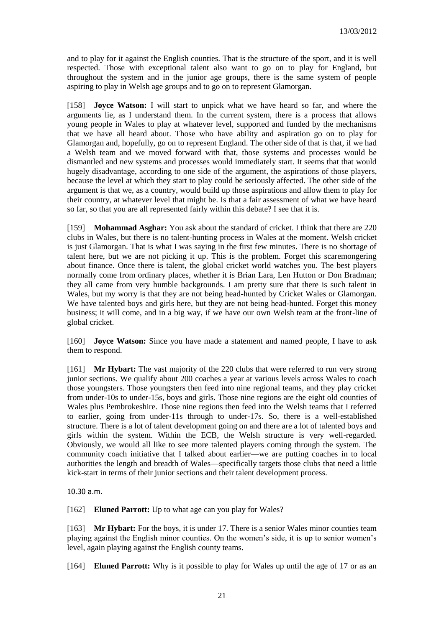and to play for it against the English counties. That is the structure of the sport, and it is well respected. Those with exceptional talent also want to go on to play for England, but throughout the system and in the junior age groups, there is the same system of people aspiring to play in Welsh age groups and to go on to represent Glamorgan.

[158] **Joyce Watson:** I will start to unpick what we have heard so far, and where the arguments lie, as I understand them. In the current system, there is a process that allows young people in Wales to play at whatever level, supported and funded by the mechanisms that we have all heard about. Those who have ability and aspiration go on to play for Glamorgan and, hopefully, go on to represent England. The other side of that is that, if we had a Welsh team and we moved forward with that, those systems and processes would be dismantled and new systems and processes would immediately start. It seems that that would hugely disadvantage, according to one side of the argument, the aspirations of those players, because the level at which they start to play could be seriously affected. The other side of the argument is that we, as a country, would build up those aspirations and allow them to play for their country, at whatever level that might be. Is that a fair assessment of what we have heard so far, so that you are all represented fairly within this debate? I see that it is.

[159] **Mohammad Asghar:** You ask about the standard of cricket. I think that there are 220 clubs in Wales, but there is no talent-hunting process in Wales at the moment. Welsh cricket is just Glamorgan. That is what I was saying in the first few minutes. There is no shortage of talent here, but we are not picking it up. This is the problem. Forget this scaremongering about finance. Once there is talent, the global cricket world watches you. The best players normally come from ordinary places, whether it is Brian Lara, Len Hutton or Don Bradman; they all came from very humble backgrounds. I am pretty sure that there is such talent in Wales, but my worry is that they are not being head-hunted by Cricket Wales or Glamorgan. We have talented boys and girls here, but they are not being head-hunted. Forget this money business; it will come, and in a big way, if we have our own Welsh team at the front-line of global cricket.

[160] **Joyce Watson:** Since you have made a statement and named people, I have to ask them to respond.

[161] **Mr Hybart:** The vast majority of the 220 clubs that were referred to run very strong junior sections. We qualify about 200 coaches a year at various levels across Wales to coach those youngsters. Those youngsters then feed into nine regional teams, and they play cricket from under-10s to under-15s, boys and girls. Those nine regions are the eight old counties of Wales plus Pembrokeshire. Those nine regions then feed into the Welsh teams that I referred to earlier, going from under-11s through to under-17s. So, there is a well-established structure. There is a lot of talent development going on and there are a lot of talented boys and girls within the system. Within the ECB, the Welsh structure is very well-regarded. Obviously, we would all like to see more talented players coming through the system. The community coach initiative that I talked about earlier—we are putting coaches in to local authorities the length and breadth of Wales—specifically targets those clubs that need a little kick-start in terms of their junior sections and their talent development process.

10.30 a.m.

[162] **Eluned Parrott:** Up to what age can you play for Wales?

[163] **Mr Hybart:** For the boys, it is under 17. There is a senior Wales minor counties team playing against the English minor counties. On the women's side, it is up to senior women's level, again playing against the English county teams.

[164] **Eluned Parrott:** Why is it possible to play for Wales up until the age of 17 or as an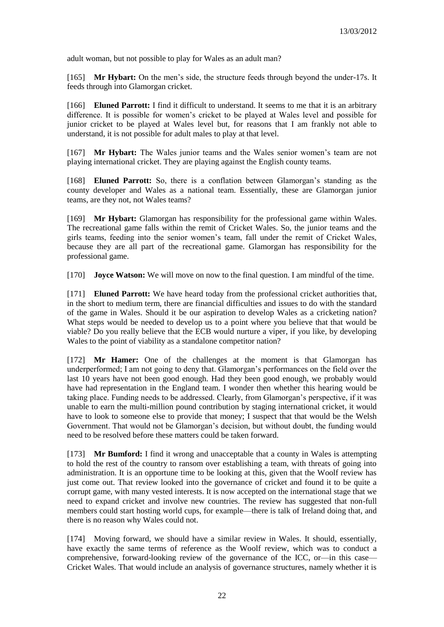adult woman, but not possible to play for Wales as an adult man?

[165] **Mr Hybart:** On the men's side, the structure feeds through beyond the under-17s. It feeds through into Glamorgan cricket.

[166] **Eluned Parrott:** I find it difficult to understand. It seems to me that it is an arbitrary difference. It is possible for women's cricket to be played at Wales level and possible for junior cricket to be played at Wales level but, for reasons that I am frankly not able to understand, it is not possible for adult males to play at that level.

[167] **Mr Hybart:** The Wales junior teams and the Wales senior women's team are not playing international cricket. They are playing against the English county teams.

[168] **Eluned Parrott:** So, there is a conflation between Glamorgan's standing as the county developer and Wales as a national team. Essentially, these are Glamorgan junior teams, are they not, not Wales teams?

[169] **Mr Hybart:** Glamorgan has responsibility for the professional game within Wales. The recreational game falls within the remit of Cricket Wales. So, the junior teams and the girls teams, feeding into the senior women's team, fall under the remit of Cricket Wales, because they are all part of the recreational game. Glamorgan has responsibility for the professional game.

[170] **Joyce Watson:** We will move on now to the final question. I am mindful of the time.

[171] **Eluned Parrott:** We have heard today from the professional cricket authorities that, in the short to medium term, there are financial difficulties and issues to do with the standard of the game in Wales. Should it be our aspiration to develop Wales as a cricketing nation? What steps would be needed to develop us to a point where you believe that that would be viable? Do you really believe that the ECB would nurture a viper, if you like, by developing Wales to the point of viability as a standalone competitor nation?

[172] **Mr Hamer:** One of the challenges at the moment is that Glamorgan has underperformed; I am not going to deny that. Glamorgan's performances on the field over the last 10 years have not been good enough. Had they been good enough, we probably would have had representation in the England team. I wonder then whether this hearing would be taking place. Funding needs to be addressed. Clearly, from Glamorgan's perspective, if it was unable to earn the multi-million pound contribution by staging international cricket, it would have to look to someone else to provide that money; I suspect that that would be the Welsh Government. That would not be Glamorgan's decision, but without doubt, the funding would need to be resolved before these matters could be taken forward.

[173] **Mr Bumford:** I find it wrong and unacceptable that a county in Wales is attempting to hold the rest of the country to ransom over establishing a team, with threats of going into administration. It is an opportune time to be looking at this, given that the Woolf review has just come out. That review looked into the governance of cricket and found it to be quite a corrupt game, with many vested interests. It is now accepted on the international stage that we need to expand cricket and involve new countries. The review has suggested that non-full members could start hosting world cups, for example—there is talk of Ireland doing that, and there is no reason why Wales could not.

[174] Moving forward, we should have a similar review in Wales. It should, essentially, have exactly the same terms of reference as the Woolf review, which was to conduct a comprehensive, forward-looking review of the governance of the ICC, or—in this case— Cricket Wales. That would include an analysis of governance structures, namely whether it is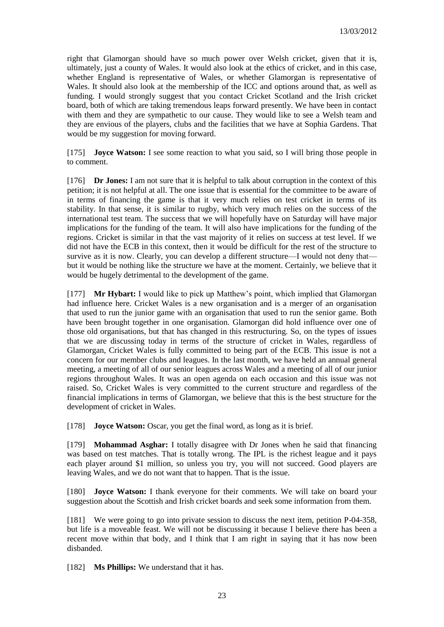right that Glamorgan should have so much power over Welsh cricket, given that it is, ultimately, just a county of Wales. It would also look at the ethics of cricket, and in this case, whether England is representative of Wales, or whether Glamorgan is representative of Wales. It should also look at the membership of the ICC and options around that, as well as funding. I would strongly suggest that you contact Cricket Scotland and the Irish cricket board, both of which are taking tremendous leaps forward presently. We have been in contact with them and they are sympathetic to our cause. They would like to see a Welsh team and they are envious of the players, clubs and the facilities that we have at Sophia Gardens. That would be my suggestion for moving forward.

[175] **Joyce Watson:** I see some reaction to what you said, so I will bring those people in to comment.

[176] **Dr Jones:** I am not sure that it is helpful to talk about corruption in the context of this petition; it is not helpful at all. The one issue that is essential for the committee to be aware of in terms of financing the game is that it very much relies on test cricket in terms of its stability. In that sense, it is similar to rugby, which very much relies on the success of the international test team. The success that we will hopefully have on Saturday will have major implications for the funding of the team. It will also have implications for the funding of the regions. Cricket is similar in that the vast majority of it relies on success at test level. If we did not have the ECB in this context, then it would be difficult for the rest of the structure to survive as it is now. Clearly, you can develop a different structure—I would not deny that but it would be nothing like the structure we have at the moment. Certainly, we believe that it would be hugely detrimental to the development of the game.

[177] **Mr Hybart:** I would like to pick up Matthew's point, which implied that Glamorgan had influence here. Cricket Wales is a new organisation and is a merger of an organisation that used to run the junior game with an organisation that used to run the senior game. Both have been brought together in one organisation. Glamorgan did hold influence over one of those old organisations, but that has changed in this restructuring. So, on the types of issues that we are discussing today in terms of the structure of cricket in Wales, regardless of Glamorgan, Cricket Wales is fully committed to being part of the ECB. This issue is not a concern for our member clubs and leagues. In the last month, we have held an annual general meeting, a meeting of all of our senior leagues across Wales and a meeting of all of our junior regions throughout Wales. It was an open agenda on each occasion and this issue was not raised. So, Cricket Wales is very committed to the current structure and regardless of the financial implications in terms of Glamorgan, we believe that this is the best structure for the development of cricket in Wales.

[178] **Joyce Watson:** Oscar, you get the final word, as long as it is brief.

[179] **Mohammad Asghar:** I totally disagree with Dr Jones when he said that financing was based on test matches. That is totally wrong. The IPL is the richest league and it pays each player around \$1 million, so unless you try, you will not succeed. Good players are leaving Wales, and we do not want that to happen. That is the issue.

[180] **Joyce Watson:** I thank everyone for their comments. We will take on board your suggestion about the Scottish and Irish cricket boards and seek some information from them.

[181] We were going to go into private session to discuss the next item, petition P-04-358, but life is a moveable feast. We will not be discussing it because I believe there has been a recent move within that body, and I think that I am right in saying that it has now been disbanded.

[182] **Ms Phillips:** We understand that it has.